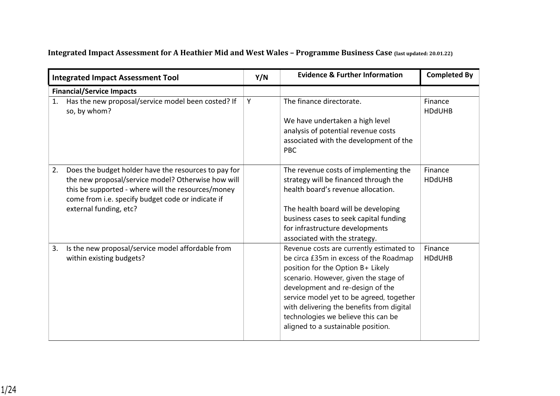## **Integrated Impact Assessment for A Heathier Mid and West Wales – Programme Business Case (last updated: 20.01.22)**

|    | <b>Integrated Impact Assessment Tool</b>                                                                                                                                                                                                        | Y/N | <b>Evidence &amp; Further Information</b>                                                                                                                                                                                                                                                                                                                                  | <b>Completed By</b>      |
|----|-------------------------------------------------------------------------------------------------------------------------------------------------------------------------------------------------------------------------------------------------|-----|----------------------------------------------------------------------------------------------------------------------------------------------------------------------------------------------------------------------------------------------------------------------------------------------------------------------------------------------------------------------------|--------------------------|
|    | <b>Financial/Service Impacts</b>                                                                                                                                                                                                                |     |                                                                                                                                                                                                                                                                                                                                                                            |                          |
| 1. | Has the new proposal/service model been costed? If<br>so, by whom?                                                                                                                                                                              | Y   | The finance directorate.<br>We have undertaken a high level<br>analysis of potential revenue costs<br>associated with the development of the<br><b>PBC</b>                                                                                                                                                                                                                 | Finance<br><b>HDdUHB</b> |
| 2. | Does the budget holder have the resources to pay for<br>the new proposal/service model? Otherwise how will<br>this be supported - where will the resources/money<br>come from i.e. specify budget code or indicate if<br>external funding, etc? |     | The revenue costs of implementing the<br>strategy will be financed through the<br>health board's revenue allocation.<br>The health board will be developing<br>business cases to seek capital funding<br>for infrastructure developments<br>associated with the strategy.                                                                                                  | Finance<br><b>HDdUHB</b> |
| 3. | Is the new proposal/service model affordable from<br>within existing budgets?                                                                                                                                                                   |     | Revenue costs are currently estimated to<br>be circa £35m in excess of the Roadmap<br>position for the Option B+ Likely<br>scenario. However, given the stage of<br>development and re-design of the<br>service model yet to be agreed, together<br>with delivering the benefits from digital<br>technologies we believe this can be<br>aligned to a sustainable position. | Finance<br><b>HDdUHB</b> |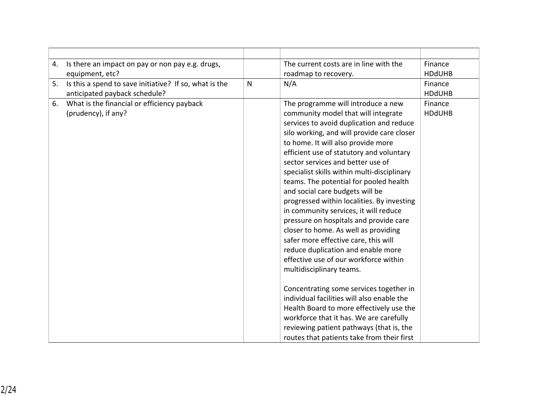| 4. | Is there an impact on pay or non pay e.g. drugs,       |              | The current costs are in line with the                                        | Finance       |
|----|--------------------------------------------------------|--------------|-------------------------------------------------------------------------------|---------------|
|    | equipment, etc?                                        |              | roadmap to recovery.                                                          | <b>HDdUHB</b> |
| 5. | Is this a spend to save initiative? If so, what is the | $\mathsf{N}$ | N/A                                                                           | Finance       |
|    | anticipated payback schedule?                          |              |                                                                               | <b>HDdUHB</b> |
| 6. | What is the financial or efficiency payback            |              | The programme will introduce a new                                            | Finance       |
|    | (prudency), if any?                                    |              | community model that will integrate                                           | <b>HDdUHB</b> |
|    |                                                        |              | services to avoid duplication and reduce                                      |               |
|    |                                                        |              | silo working, and will provide care closer                                    |               |
|    |                                                        |              | to home. It will also provide more                                            |               |
|    |                                                        |              | efficient use of statutory and voluntary<br>sector services and better use of |               |
|    |                                                        |              | specialist skills within multi-disciplinary                                   |               |
|    |                                                        |              | teams. The potential for pooled health                                        |               |
|    |                                                        |              | and social care budgets will be                                               |               |
|    |                                                        |              | progressed within localities. By investing                                    |               |
|    |                                                        |              | in community services, it will reduce                                         |               |
|    |                                                        |              | pressure on hospitals and provide care                                        |               |
|    |                                                        |              | closer to home. As well as providing                                          |               |
|    |                                                        |              | safer more effective care, this will                                          |               |
|    |                                                        |              | reduce duplication and enable more                                            |               |
|    |                                                        |              | effective use of our workforce within                                         |               |
|    |                                                        |              | multidisciplinary teams.                                                      |               |
|    |                                                        |              | Concentrating some services together in                                       |               |
|    |                                                        |              | individual facilities will also enable the                                    |               |
|    |                                                        |              | Health Board to more effectively use the                                      |               |
|    |                                                        |              | workforce that it has. We are carefully                                       |               |
|    |                                                        |              | reviewing patient pathways (that is, the                                      |               |
|    |                                                        |              | routes that patients take from their first                                    |               |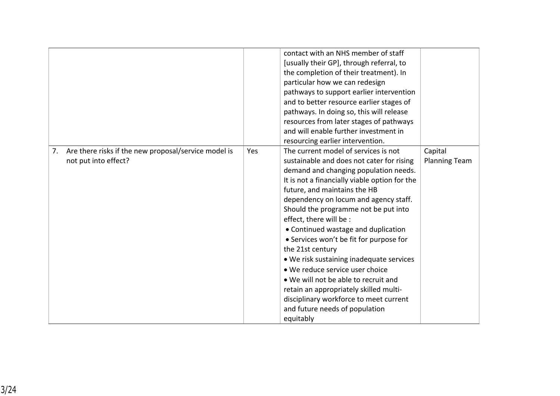|                                                                                    |            | contact with an NHS member of staff<br>[usually their GP], through referral, to<br>the completion of their treatment). In<br>particular how we can redesign<br>pathways to support earlier intervention<br>and to better resource earlier stages of<br>pathways. In doing so, this will release<br>resources from later stages of pathways<br>and will enable further investment in<br>resourcing earlier intervention.                                                                                                                                                                                                                                                                 |                                 |
|------------------------------------------------------------------------------------|------------|-----------------------------------------------------------------------------------------------------------------------------------------------------------------------------------------------------------------------------------------------------------------------------------------------------------------------------------------------------------------------------------------------------------------------------------------------------------------------------------------------------------------------------------------------------------------------------------------------------------------------------------------------------------------------------------------|---------------------------------|
| Are there risks if the new proposal/service model is<br>7.<br>not put into effect? | <b>Yes</b> | The current model of services is not<br>sustainable and does not cater for rising<br>demand and changing population needs.<br>It is not a financially viable option for the<br>future, and maintains the HB<br>dependency on locum and agency staff.<br>Should the programme not be put into<br>effect, there will be :<br>• Continued wastage and duplication<br>• Services won't be fit for purpose for<br>the 21st century<br>• We risk sustaining inadequate services<br>• We reduce service user choice<br>• We will not be able to recruit and<br>retain an appropriately skilled multi-<br>disciplinary workforce to meet current<br>and future needs of population<br>equitably | Capital<br><b>Planning Team</b> |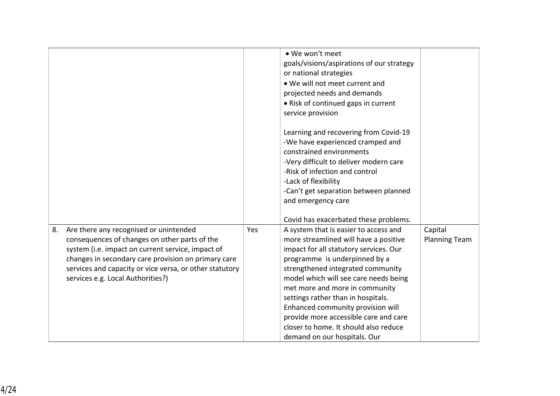|    |                                                                                                                                                                                                                                                                                                     |     | • We won't meet<br>goals/visions/aspirations of our strategy<br>or national strategies<br>. We will not meet current and<br>projected needs and demands<br>• Risk of continued gaps in current<br>service provision<br>Learning and recovering from Covid-19<br>-We have experienced cramped and<br>constrained environments<br>-Very difficult to deliver modern care<br>-Risk of infection and control<br>-Lack of flexibility<br>-Can't get separation between planned<br>and emergency care<br>Covid has exacerbated these problems. |                                 |
|----|-----------------------------------------------------------------------------------------------------------------------------------------------------------------------------------------------------------------------------------------------------------------------------------------------------|-----|------------------------------------------------------------------------------------------------------------------------------------------------------------------------------------------------------------------------------------------------------------------------------------------------------------------------------------------------------------------------------------------------------------------------------------------------------------------------------------------------------------------------------------------|---------------------------------|
| 8. | Are there any recognised or unintended<br>consequences of changes on other parts of the<br>system (i.e. impact on current service, impact of<br>changes in secondary care provision on primary care<br>services and capacity or vice versa, or other statutory<br>services e.g. Local Authorities?) | Yes | A system that is easier to access and<br>more streamlined will have a positive<br>impact for all statutory services. Our<br>programme is underpinned by a<br>strengthened integrated community<br>model which will see care needs being<br>met more and more in community<br>settings rather than in hospitals.<br>Enhanced community provision will<br>provide more accessible care and care<br>closer to home. It should also reduce<br>demand on our hospitals. Our                                                                   | Capital<br><b>Planning Team</b> |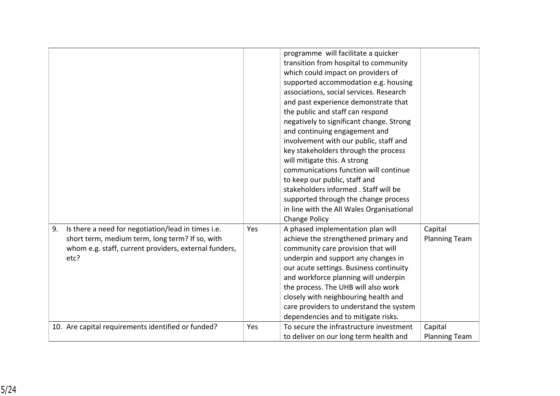|    |                                                                                                                                                                        |     | programme will facilitate a quicker<br>transition from hospital to community<br>which could impact on providers of<br>supported accommodation e.g. housing<br>associations, social services. Research<br>and past experience demonstrate that<br>the public and staff can respond<br>negatively to significant change. Strong<br>and continuing engagement and<br>involvement with our public, staff and<br>key stakeholders through the process<br>will mitigate this. A strong<br>communications function will continue<br>to keep our public, staff and<br>stakeholders informed . Staff will be<br>supported through the change process<br>in line with the All Wales Organisational<br><b>Change Policy</b> |                                 |
|----|------------------------------------------------------------------------------------------------------------------------------------------------------------------------|-----|------------------------------------------------------------------------------------------------------------------------------------------------------------------------------------------------------------------------------------------------------------------------------------------------------------------------------------------------------------------------------------------------------------------------------------------------------------------------------------------------------------------------------------------------------------------------------------------------------------------------------------------------------------------------------------------------------------------|---------------------------------|
| 9. | Is there a need for negotiation/lead in times i.e.<br>short term, medium term, long term? If so, with<br>whom e.g. staff, current providers, external funders,<br>etc? | Yes | A phased implementation plan will<br>achieve the strengthened primary and<br>community care provision that will<br>underpin and support any changes in<br>our acute settings. Business continuity<br>and workforce planning will underpin<br>the process. The UHB will also work<br>closely with neighbouring health and<br>care providers to understand the system<br>dependencies and to mitigate risks.                                                                                                                                                                                                                                                                                                       | Capital<br><b>Planning Team</b> |
|    | 10. Are capital requirements identified or funded?                                                                                                                     | Yes | To secure the infrastructure investment<br>to deliver on our long term health and                                                                                                                                                                                                                                                                                                                                                                                                                                                                                                                                                                                                                                | Capital<br><b>Planning Team</b> |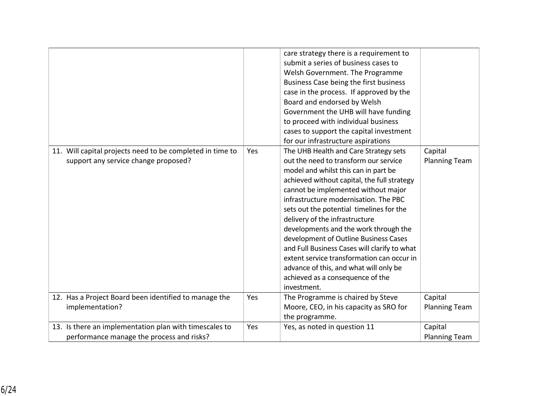| 11. Will capital projects need to be completed in time to<br>support any service change proposed?   | Yes | care strategy there is a requirement to<br>submit a series of business cases to<br>Welsh Government. The Programme<br>Business Case being the first business<br>case in the process. If approved by the<br>Board and endorsed by Welsh<br>Government the UHB will have funding<br>to proceed with individual business<br>cases to support the capital investment<br>for our infrastructure aspirations<br>The UHB Health and Care Strategy sets<br>out the need to transform our service<br>model and whilst this can in part be<br>achieved without capital, the full strategy<br>cannot be implemented without major<br>infrastructure modernisation. The PBC<br>sets out the potential timelines for the<br>delivery of the infrastructure<br>developments and the work through the<br>development of Outline Business Cases<br>and Full Business Cases will clarify to what<br>extent service transformation can occur in<br>advance of this, and what will only be<br>achieved as a consequence of the | Capital<br><b>Planning Team</b> |
|-----------------------------------------------------------------------------------------------------|-----|-------------------------------------------------------------------------------------------------------------------------------------------------------------------------------------------------------------------------------------------------------------------------------------------------------------------------------------------------------------------------------------------------------------------------------------------------------------------------------------------------------------------------------------------------------------------------------------------------------------------------------------------------------------------------------------------------------------------------------------------------------------------------------------------------------------------------------------------------------------------------------------------------------------------------------------------------------------------------------------------------------------|---------------------------------|
| 12. Has a Project Board been identified to manage the                                               | Yes | investment.<br>The Programme is chaired by Steve                                                                                                                                                                                                                                                                                                                                                                                                                                                                                                                                                                                                                                                                                                                                                                                                                                                                                                                                                            | Capital                         |
| implementation?                                                                                     |     | Moore, CEO, in his capacity as SRO for<br>the programme.                                                                                                                                                                                                                                                                                                                                                                                                                                                                                                                                                                                                                                                                                                                                                                                                                                                                                                                                                    | <b>Planning Team</b>            |
| 13. Is there an implementation plan with timescales to<br>performance manage the process and risks? | Yes | Yes, as noted in question 11                                                                                                                                                                                                                                                                                                                                                                                                                                                                                                                                                                                                                                                                                                                                                                                                                                                                                                                                                                                | Capital<br><b>Planning Team</b> |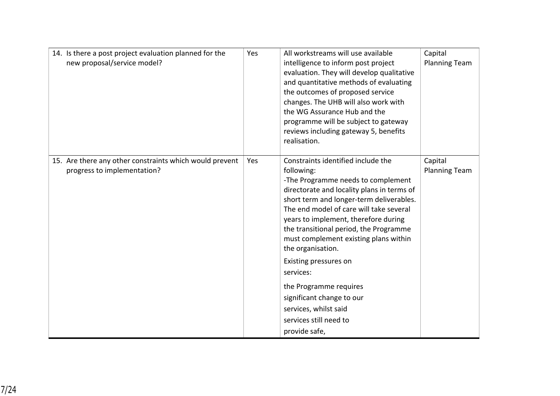| 14. Is there a post project evaluation planned for the<br>new proposal/service model?  | Yes | All workstreams will use available<br>intelligence to inform post project<br>evaluation. They will develop qualitative<br>and quantitative methods of evaluating<br>the outcomes of proposed service<br>changes. The UHB will also work with<br>the WG Assurance Hub and the<br>programme will be subject to gateway<br>reviews including gateway 5, benefits<br>realisation.                                                                                                                                                                | Capital<br><b>Planning Team</b> |
|----------------------------------------------------------------------------------------|-----|----------------------------------------------------------------------------------------------------------------------------------------------------------------------------------------------------------------------------------------------------------------------------------------------------------------------------------------------------------------------------------------------------------------------------------------------------------------------------------------------------------------------------------------------|---------------------------------|
| 15. Are there any other constraints which would prevent<br>progress to implementation? | Yes | Constraints identified include the<br>following:<br>-The Programme needs to complement<br>directorate and locality plans in terms of<br>short term and longer-term deliverables.<br>The end model of care will take several<br>years to implement, therefore during<br>the transitional period, the Programme<br>must complement existing plans within<br>the organisation.<br>Existing pressures on<br>services:<br>the Programme requires<br>significant change to our<br>services, whilst said<br>services still need to<br>provide safe, | Capital<br><b>Planning Team</b> |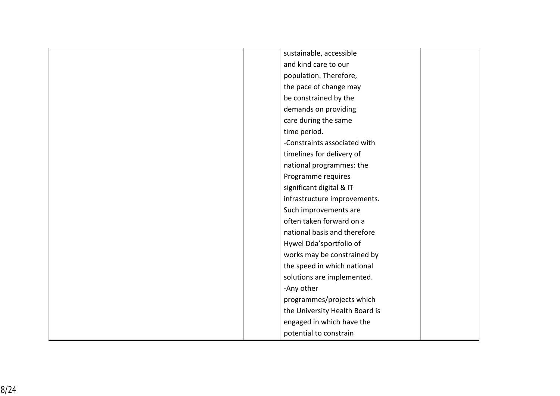| sustainable, accessible        |
|--------------------------------|
| and kind care to our           |
| population. Therefore,         |
| the pace of change may         |
| be constrained by the          |
| demands on providing           |
| care during the same           |
| time period.                   |
| -Constraints associated with   |
| timelines for delivery of      |
| national programmes: the       |
| Programme requires             |
| significant digital & IT       |
| infrastructure improvements.   |
| Such improvements are          |
| often taken forward on a       |
| national basis and therefore   |
| Hywel Dda'sportfolio of        |
| works may be constrained by    |
| the speed in which national    |
| solutions are implemented.     |
| -Any other                     |
| programmes/projects which      |
| the University Health Board is |
| engaged in which have the      |
| potential to constrain         |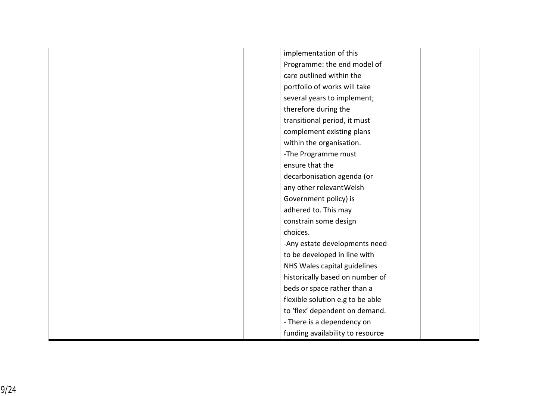| implementation of this           |
|----------------------------------|
| Programme: the end model of      |
| care outlined within the         |
| portfolio of works will take     |
| several years to implement;      |
| therefore during the             |
| transitional period, it must     |
| complement existing plans        |
| within the organisation.         |
| -The Programme must              |
| ensure that the                  |
| decarbonisation agenda (or       |
| any other relevant Welsh         |
| Government policy) is            |
| adhered to. This may             |
| constrain some design            |
| choices.                         |
| -Any estate developments need    |
| to be developed in line with     |
| NHS Wales capital guidelines     |
| historically based on number of  |
| beds or space rather than a      |
| flexible solution e.g to be able |
| to 'flex' dependent on demand.   |
| - There is a dependency on       |
| funding availability to resource |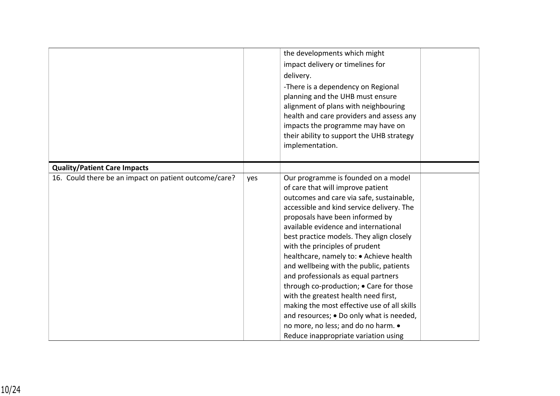|                                                       |     | the developments which might<br>impact delivery or timelines for<br>delivery.<br>-There is a dependency on Regional<br>planning and the UHB must ensure<br>alignment of plans with neighbouring<br>health and care providers and assess any<br>impacts the programme may have on<br>their ability to support the UHB strategy<br>implementation.                                                                                                                                                                                                                                                                                                                                                                     |
|-------------------------------------------------------|-----|----------------------------------------------------------------------------------------------------------------------------------------------------------------------------------------------------------------------------------------------------------------------------------------------------------------------------------------------------------------------------------------------------------------------------------------------------------------------------------------------------------------------------------------------------------------------------------------------------------------------------------------------------------------------------------------------------------------------|
| <b>Quality/Patient Care Impacts</b>                   |     |                                                                                                                                                                                                                                                                                                                                                                                                                                                                                                                                                                                                                                                                                                                      |
| 16. Could there be an impact on patient outcome/care? | yes | Our programme is founded on a model<br>of care that will improve patient<br>outcomes and care via safe, sustainable,<br>accessible and kind service delivery. The<br>proposals have been informed by<br>available evidence and international<br>best practice models. They align closely<br>with the principles of prudent<br>healthcare, namely to: . Achieve health<br>and wellbeing with the public, patients<br>and professionals as equal partners<br>through co-production; • Care for those<br>with the greatest health need first,<br>making the most effective use of all skills<br>and resources; • Do only what is needed,<br>no more, no less; and do no harm. .<br>Reduce inappropriate variation using |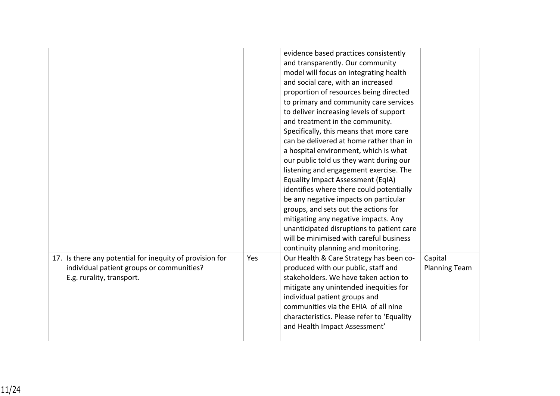|                                                                                                                                    |     | evidence based practices consistently<br>and transparently. Our community<br>model will focus on integrating health<br>and social care, with an increased<br>proportion of resources being directed<br>to primary and community care services<br>to deliver increasing levels of support<br>and treatment in the community.<br>Specifically, this means that more care<br>can be delivered at home rather than in<br>a hospital environment, which is what<br>our public told us they want during our<br>listening and engagement exercise. The<br><b>Equality Impact Assessment (EqIA)</b><br>identifies where there could potentially<br>be any negative impacts on particular<br>groups, and sets out the actions for<br>mitigating any negative impacts. Any<br>unanticipated disruptions to patient care<br>will be minimised with careful business<br>continuity planning and monitoring. |                                 |
|------------------------------------------------------------------------------------------------------------------------------------|-----|-------------------------------------------------------------------------------------------------------------------------------------------------------------------------------------------------------------------------------------------------------------------------------------------------------------------------------------------------------------------------------------------------------------------------------------------------------------------------------------------------------------------------------------------------------------------------------------------------------------------------------------------------------------------------------------------------------------------------------------------------------------------------------------------------------------------------------------------------------------------------------------------------|---------------------------------|
| 17. Is there any potential for inequity of provision for<br>individual patient groups or communities?<br>E.g. rurality, transport. | Yes | Our Health & Care Strategy has been co-<br>produced with our public, staff and<br>stakeholders. We have taken action to<br>mitigate any unintended inequities for<br>individual patient groups and<br>communities via the EHIA of all nine<br>characteristics. Please refer to 'Equality<br>and Health Impact Assessment'                                                                                                                                                                                                                                                                                                                                                                                                                                                                                                                                                                       | Capital<br><b>Planning Team</b> |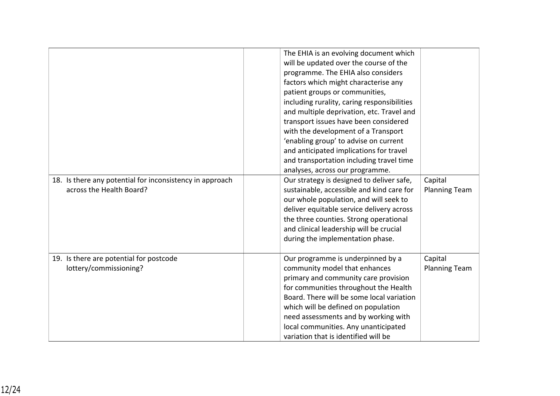| 18. Is there any potential for inconsistency in approach<br>across the Health Board? | The EHIA is an evolving document which<br>will be updated over the course of the<br>programme. The EHIA also considers<br>factors which might characterise any<br>patient groups or communities,<br>including rurality, caring responsibilities<br>and multiple deprivation, etc. Travel and<br>transport issues have been considered<br>with the development of a Transport<br>'enabling group' to advise on current<br>and anticipated implications for travel<br>and transportation including travel time<br>analyses, across our programme.<br>Our strategy is designed to deliver safe,<br>sustainable, accessible and kind care for<br>our whole population, and will seek to<br>deliver equitable service delivery across<br>the three counties. Strong operational<br>and clinical leadership will be crucial<br>during the implementation phase. | Capital<br><b>Planning Team</b> |
|--------------------------------------------------------------------------------------|-----------------------------------------------------------------------------------------------------------------------------------------------------------------------------------------------------------------------------------------------------------------------------------------------------------------------------------------------------------------------------------------------------------------------------------------------------------------------------------------------------------------------------------------------------------------------------------------------------------------------------------------------------------------------------------------------------------------------------------------------------------------------------------------------------------------------------------------------------------|---------------------------------|
| 19. Is there are potential for postcode<br>lottery/commissioning?                    | Our programme is underpinned by a<br>community model that enhances<br>primary and community care provision<br>for communities throughout the Health<br>Board. There will be some local variation<br>which will be defined on population<br>need assessments and by working with<br>local communities. Any unanticipated<br>variation that is identified will be                                                                                                                                                                                                                                                                                                                                                                                                                                                                                           | Capital<br><b>Planning Team</b> |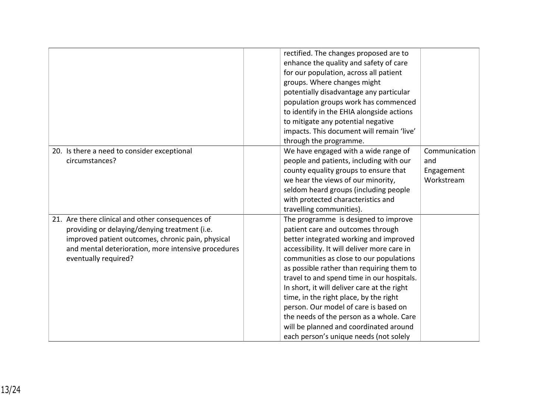|                                                                                                                                                                                                                                       | rectified. The changes proposed are to<br>enhance the quality and safety of care<br>for our population, across all patient<br>groups. Where changes might<br>potentially disadvantage any particular<br>population groups work has commenced<br>to identify in the EHIA alongside actions<br>to mitigate any potential negative<br>impacts. This document will remain 'live'<br>through the programme.                                                                                                                                                                     |                                                  |
|---------------------------------------------------------------------------------------------------------------------------------------------------------------------------------------------------------------------------------------|----------------------------------------------------------------------------------------------------------------------------------------------------------------------------------------------------------------------------------------------------------------------------------------------------------------------------------------------------------------------------------------------------------------------------------------------------------------------------------------------------------------------------------------------------------------------------|--------------------------------------------------|
| 20. Is there a need to consider exceptional<br>circumstances?                                                                                                                                                                         | We have engaged with a wide range of<br>people and patients, including with our<br>county equality groups to ensure that<br>we hear the views of our minority,<br>seldom heard groups (including people<br>with protected characteristics and<br>travelling communities).                                                                                                                                                                                                                                                                                                  | Communication<br>and<br>Engagement<br>Workstream |
| 21. Are there clinical and other consequences of<br>providing or delaying/denying treatment (i.e.<br>improved patient outcomes, chronic pain, physical<br>and mental deterioration, more intensive procedures<br>eventually required? | The programme is designed to improve<br>patient care and outcomes through<br>better integrated working and improved<br>accessibility. It will deliver more care in<br>communities as close to our populations<br>as possible rather than requiring them to<br>travel to and spend time in our hospitals.<br>In short, it will deliver care at the right<br>time, in the right place, by the right<br>person. Our model of care is based on<br>the needs of the person as a whole. Care<br>will be planned and coordinated around<br>each person's unique needs (not solely |                                                  |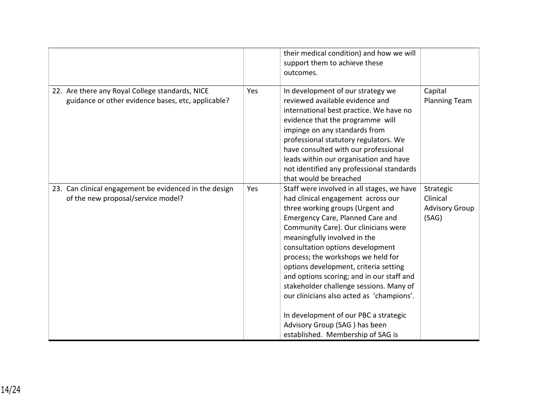|                                                                                                       |     | their medical condition) and how we will<br>support them to achieve these<br>outcomes.                                                                                                                                                                                                                                                                                                                                                                                                                                                                                                                         |                                                         |
|-------------------------------------------------------------------------------------------------------|-----|----------------------------------------------------------------------------------------------------------------------------------------------------------------------------------------------------------------------------------------------------------------------------------------------------------------------------------------------------------------------------------------------------------------------------------------------------------------------------------------------------------------------------------------------------------------------------------------------------------------|---------------------------------------------------------|
| 22. Are there any Royal College standards, NICE<br>guidance or other evidence bases, etc, applicable? | Yes | In development of our strategy we<br>reviewed available evidence and<br>international best practice. We have no<br>evidence that the programme will<br>impinge on any standards from<br>professional statutory regulators. We<br>have consulted with our professional<br>leads within our organisation and have<br>not identified any professional standards<br>that would be breached                                                                                                                                                                                                                         | Capital<br><b>Planning Team</b>                         |
| 23. Can clinical engagement be evidenced in the design<br>of the new proposal/service model?          | Yes | Staff were involved in all stages, we have<br>had clinical engagement across our<br>three working groups (Urgent and<br><b>Emergency Care, Planned Care and</b><br>Community Care). Our clinicians were<br>meaningfully involved in the<br>consultation options development<br>process; the workshops we held for<br>options development, criteria setting<br>and options scoring; and in our staff and<br>stakeholder challenge sessions. Many of<br>our clinicians also acted as 'champions'.<br>In development of our PBC a strategic<br>Advisory Group (SAG) has been<br>established. Membership of SAG is | Strategic<br>Clinical<br><b>Advisory Group</b><br>(SAG) |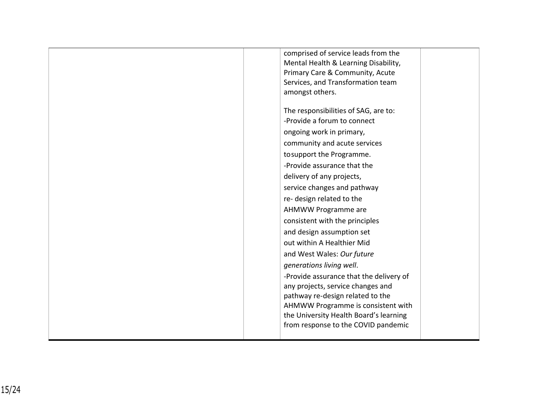| comprised of service leads from the<br>Mental Health & Learning Disability,<br>Primary Care & Community, Acute<br>Services, and Transformation team<br>amongst others.                                                                                                                                                                                                                                                                                                                                                                                                                                                                                                                                      |
|-------------------------------------------------------------------------------------------------------------------------------------------------------------------------------------------------------------------------------------------------------------------------------------------------------------------------------------------------------------------------------------------------------------------------------------------------------------------------------------------------------------------------------------------------------------------------------------------------------------------------------------------------------------------------------------------------------------|
| The responsibilities of SAG, are to:<br>-Provide a forum to connect<br>ongoing work in primary,<br>community and acute services<br>tosupport the Programme.<br>-Provide assurance that the<br>delivery of any projects,<br>service changes and pathway<br>re-design related to the<br>AHMWW Programme are<br>consistent with the principles<br>and design assumption set<br>out within A Healthier Mid<br>and West Wales: Our future<br>generations living well.<br>-Provide assurance that the delivery of<br>any projects, service changes and<br>pathway re-design related to the<br>AHMWW Programme is consistent with<br>the University Health Board's learning<br>from response to the COVID pandemic |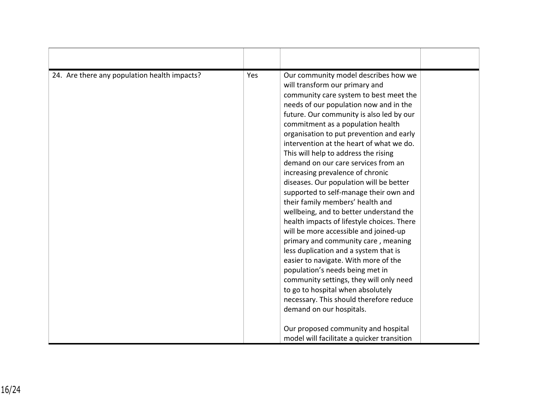| 24. Are there any population health impacts? | Yes | Our community model describes how we<br>will transform our primary and<br>community care system to best meet the<br>needs of our population now and in the<br>future. Our community is also led by our<br>commitment as a population health<br>organisation to put prevention and early<br>intervention at the heart of what we do.<br>This will help to address the rising<br>demand on our care services from an<br>increasing prevalence of chronic<br>diseases. Our population will be better<br>supported to self-manage their own and<br>their family members' health and<br>wellbeing, and to better understand the<br>health impacts of lifestyle choices. There<br>will be more accessible and joined-up<br>primary and community care, meaning<br>less duplication and a system that is<br>easier to navigate. With more of the<br>population's needs being met in<br>community settings, they will only need<br>to go to hospital when absolutely<br>necessary. This should therefore reduce<br>demand on our hospitals. |  |
|----------------------------------------------|-----|-------------------------------------------------------------------------------------------------------------------------------------------------------------------------------------------------------------------------------------------------------------------------------------------------------------------------------------------------------------------------------------------------------------------------------------------------------------------------------------------------------------------------------------------------------------------------------------------------------------------------------------------------------------------------------------------------------------------------------------------------------------------------------------------------------------------------------------------------------------------------------------------------------------------------------------------------------------------------------------------------------------------------------------|--|
|                                              |     | Our proposed community and hospital<br>model will facilitate a quicker transition                                                                                                                                                                                                                                                                                                                                                                                                                                                                                                                                                                                                                                                                                                                                                                                                                                                                                                                                                   |  |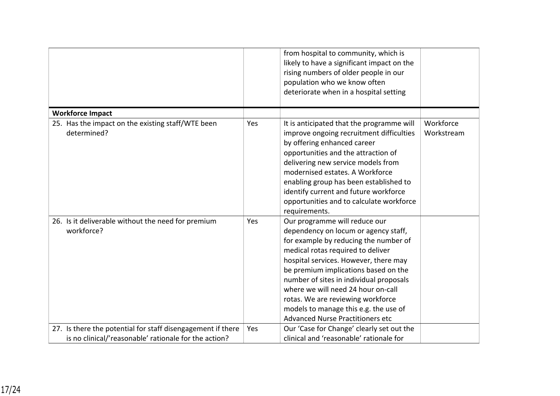|                                                                  |     | from hospital to community, which is<br>likely to have a significant impact on the<br>rising numbers of older people in our<br>population who we know often<br>deteriorate when in a hospital setting                                                                                                                                                                                                                                          |                         |
|------------------------------------------------------------------|-----|------------------------------------------------------------------------------------------------------------------------------------------------------------------------------------------------------------------------------------------------------------------------------------------------------------------------------------------------------------------------------------------------------------------------------------------------|-------------------------|
| <b>Workforce Impact</b>                                          |     |                                                                                                                                                                                                                                                                                                                                                                                                                                                |                         |
| 25. Has the impact on the existing staff/WTE been<br>determined? | Yes | It is anticipated that the programme will<br>improve ongoing recruitment difficulties<br>by offering enhanced career<br>opportunities and the attraction of<br>delivering new service models from<br>modernised estates. A Workforce<br>enabling group has been established to<br>identify current and future workforce<br>opportunities and to calculate workforce<br>requirements.                                                           | Workforce<br>Workstream |
| 26. Is it deliverable without the need for premium<br>workforce? | Yes | Our programme will reduce our<br>dependency on locum or agency staff,<br>for example by reducing the number of<br>medical rotas required to deliver<br>hospital services. However, there may<br>be premium implications based on the<br>number of sites in individual proposals<br>where we will need 24 hour on-call<br>rotas. We are reviewing workforce<br>models to manage this e.g. the use of<br><b>Advanced Nurse Practitioners etc</b> |                         |
| 27. Is there the potential for staff disengagement if there      | Yes | Our 'Case for Change' clearly set out the                                                                                                                                                                                                                                                                                                                                                                                                      |                         |
| is no clinical/'reasonable' rationale for the action?            |     | clinical and 'reasonable' rationale for                                                                                                                                                                                                                                                                                                                                                                                                        |                         |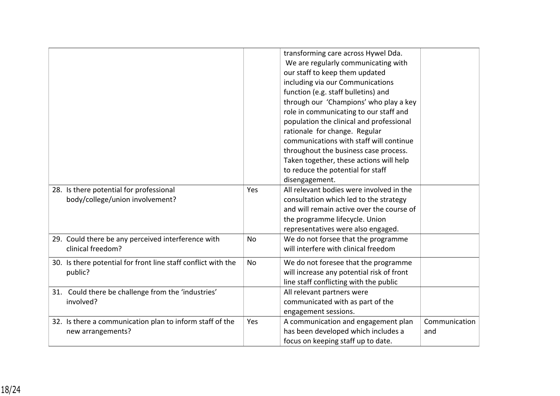|                                                                               |           | transforming care across Hywel Dda.<br>We are regularly communicating with<br>our staff to keep them updated<br>including via our Communications<br>function (e.g. staff bulletins) and<br>through our 'Champions' who play a key<br>role in communicating to our staff and<br>population the clinical and professional<br>rationale for change. Regular<br>communications with staff will continue<br>throughout the business case process.<br>Taken together, these actions will help<br>to reduce the potential for staff<br>disengagement. |                      |
|-------------------------------------------------------------------------------|-----------|------------------------------------------------------------------------------------------------------------------------------------------------------------------------------------------------------------------------------------------------------------------------------------------------------------------------------------------------------------------------------------------------------------------------------------------------------------------------------------------------------------------------------------------------|----------------------|
| 28. Is there potential for professional<br>body/college/union involvement?    | Yes       | All relevant bodies were involved in the<br>consultation which led to the strategy<br>and will remain active over the course of<br>the programme lifecycle. Union<br>representatives were also engaged.                                                                                                                                                                                                                                                                                                                                        |                      |
| 29. Could there be any perceived interference with<br>clinical freedom?       | No        | We do not forsee that the programme<br>will interfere with clinical freedom                                                                                                                                                                                                                                                                                                                                                                                                                                                                    |                      |
| 30. Is there potential for front line staff conflict with the<br>public?      | <b>No</b> | We do not foresee that the programme<br>will increase any potential risk of front<br>line staff conflicting with the public                                                                                                                                                                                                                                                                                                                                                                                                                    |                      |
| 31. Could there be challenge from the 'industries'<br>involved?               |           | All relevant partners were<br>communicated with as part of the<br>engagement sessions.                                                                                                                                                                                                                                                                                                                                                                                                                                                         |                      |
| 32. Is there a communication plan to inform staff of the<br>new arrangements? | Yes       | A communication and engagement plan<br>has been developed which includes a<br>focus on keeping staff up to date.                                                                                                                                                                                                                                                                                                                                                                                                                               | Communication<br>and |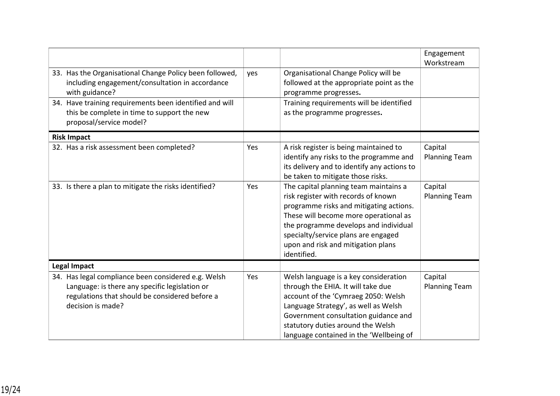|                                                                                                                                                                              |     |                                                                                                                                                                                                                                                                                                       | Engagement<br>Workstream        |
|------------------------------------------------------------------------------------------------------------------------------------------------------------------------------|-----|-------------------------------------------------------------------------------------------------------------------------------------------------------------------------------------------------------------------------------------------------------------------------------------------------------|---------------------------------|
| 33. Has the Organisational Change Policy been followed,<br>including engagement/consultation in accordance<br>with guidance?                                                 | yes | Organisational Change Policy will be<br>followed at the appropriate point as the<br>programme progresses.                                                                                                                                                                                             |                                 |
| 34. Have training requirements been identified and will<br>this be complete in time to support the new<br>proposal/service model?                                            |     | Training requirements will be identified<br>as the programme progresses.                                                                                                                                                                                                                              |                                 |
| <b>Risk Impact</b>                                                                                                                                                           |     |                                                                                                                                                                                                                                                                                                       |                                 |
| 32. Has a risk assessment been completed?                                                                                                                                    | Yes | A risk register is being maintained to<br>identify any risks to the programme and<br>its delivery and to identify any actions to<br>be taken to mitigate those risks.                                                                                                                                 | Capital<br><b>Planning Team</b> |
| 33. Is there a plan to mitigate the risks identified?                                                                                                                        | Yes | The capital planning team maintains a<br>risk register with records of known<br>programme risks and mitigating actions.<br>These will become more operational as<br>the programme develops and individual<br>specialty/service plans are engaged<br>upon and risk and mitigation plans<br>identified. | Capital<br><b>Planning Team</b> |
| <b>Legal Impact</b>                                                                                                                                                          |     |                                                                                                                                                                                                                                                                                                       |                                 |
| 34. Has legal compliance been considered e.g. Welsh<br>Language: is there any specific legislation or<br>regulations that should be considered before a<br>decision is made? | Yes | Welsh language is a key consideration<br>through the EHIA. It will take due<br>account of the 'Cymraeg 2050: Welsh<br>Language Strategy', as well as Welsh<br>Government consultation guidance and<br>statutory duties around the Welsh<br>language contained in the 'Wellbeing of                    | Capital<br><b>Planning Team</b> |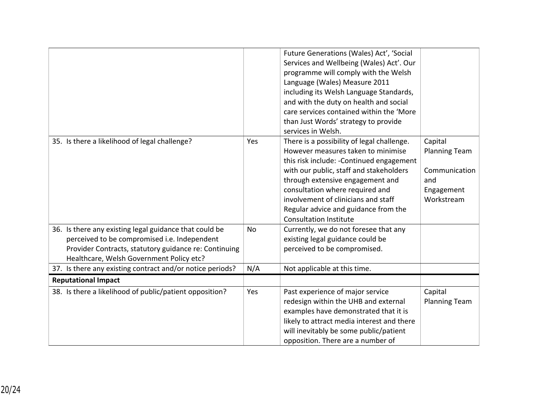|                                                                                                                                                                                                             |           | Future Generations (Wales) Act', 'Social<br>Services and Wellbeing (Wales) Act'. Our<br>programme will comply with the Welsh<br>Language (Wales) Measure 2011<br>including its Welsh Language Standards,<br>and with the duty on health and social<br>care services contained within the 'More<br>than Just Words' strategy to provide<br>services in Welsh.    |                                                                                     |
|-------------------------------------------------------------------------------------------------------------------------------------------------------------------------------------------------------------|-----------|-----------------------------------------------------------------------------------------------------------------------------------------------------------------------------------------------------------------------------------------------------------------------------------------------------------------------------------------------------------------|-------------------------------------------------------------------------------------|
| 35. Is there a likelihood of legal challenge?                                                                                                                                                               | Yes       | There is a possibility of legal challenge.<br>However measures taken to minimise<br>this risk include: - Continued engagement<br>with our public, staff and stakeholders<br>through extensive engagement and<br>consultation where required and<br>involvement of clinicians and staff<br>Regular advice and guidance from the<br><b>Consultation Institute</b> | Capital<br><b>Planning Team</b><br>Communication<br>and<br>Engagement<br>Workstream |
| 36. Is there any existing legal guidance that could be<br>perceived to be compromised i.e. Independent<br>Provider Contracts, statutory guidance re: Continuing<br>Healthcare, Welsh Government Policy etc? | <b>No</b> | Currently, we do not foresee that any<br>existing legal guidance could be<br>perceived to be compromised.                                                                                                                                                                                                                                                       |                                                                                     |
| 37. Is there any existing contract and/or notice periods?                                                                                                                                                   | N/A       | Not applicable at this time.                                                                                                                                                                                                                                                                                                                                    |                                                                                     |
| <b>Reputational Impact</b>                                                                                                                                                                                  |           |                                                                                                                                                                                                                                                                                                                                                                 |                                                                                     |
| 38. Is there a likelihood of public/patient opposition?                                                                                                                                                     | Yes       | Past experience of major service<br>redesign within the UHB and external<br>examples have demonstrated that it is<br>likely to attract media interest and there<br>will inevitably be some public/patient<br>opposition. There are a number of                                                                                                                  | Capital<br><b>Planning Team</b>                                                     |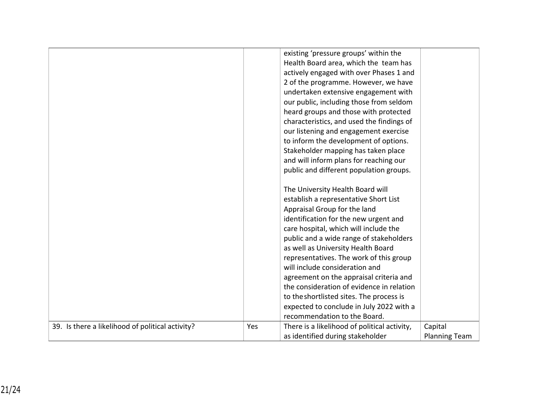|                                                  |     | existing 'pressure groups' within the<br>Health Board area, which the team has<br>actively engaged with over Phases 1 and<br>2 of the programme. However, we have<br>undertaken extensive engagement with<br>our public, including those from seldom<br>heard groups and those with protected<br>characteristics, and used the findings of<br>our listening and engagement exercise<br>to inform the development of options.<br>Stakeholder mapping has taken place<br>and will inform plans for reaching our<br>public and different population groups.<br>The University Health Board will<br>establish a representative Short List<br>Appraisal Group for the land<br>identification for the new urgent and<br>care hospital, which will include the<br>public and a wide range of stakeholders<br>as well as University Health Board<br>representatives. The work of this group<br>will include consideration and<br>agreement on the appraisal criteria and<br>the consideration of evidence in relation<br>to the shortlisted sites. The process is<br>expected to conclude in July 2022 with a |                      |
|--------------------------------------------------|-----|-------------------------------------------------------------------------------------------------------------------------------------------------------------------------------------------------------------------------------------------------------------------------------------------------------------------------------------------------------------------------------------------------------------------------------------------------------------------------------------------------------------------------------------------------------------------------------------------------------------------------------------------------------------------------------------------------------------------------------------------------------------------------------------------------------------------------------------------------------------------------------------------------------------------------------------------------------------------------------------------------------------------------------------------------------------------------------------------------------|----------------------|
| 39. Is there a likelihood of political activity? | Yes | recommendation to the Board.<br>There is a likelihood of political activity,                                                                                                                                                                                                                                                                                                                                                                                                                                                                                                                                                                                                                                                                                                                                                                                                                                                                                                                                                                                                                          | Capital              |
|                                                  |     | as identified during stakeholder                                                                                                                                                                                                                                                                                                                                                                                                                                                                                                                                                                                                                                                                                                                                                                                                                                                                                                                                                                                                                                                                      | <b>Planning Team</b> |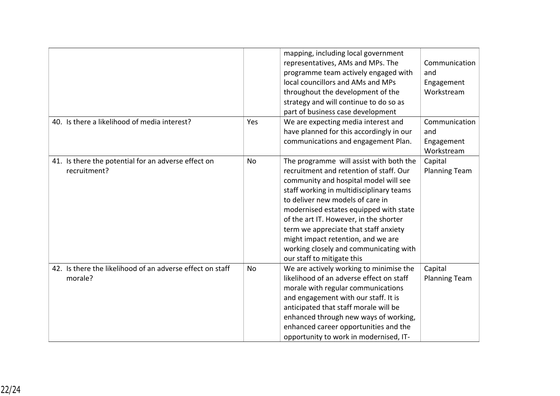|                                                                      |     | mapping, including local government<br>representatives, AMs and MPs. The<br>programme team actively engaged with<br>local councillors and AMs and MPs<br>throughout the development of the<br>strategy and will continue to do so as<br>part of business case development                                                                                                                                                                              | Communication<br>and<br>Engagement<br>Workstream |
|----------------------------------------------------------------------|-----|--------------------------------------------------------------------------------------------------------------------------------------------------------------------------------------------------------------------------------------------------------------------------------------------------------------------------------------------------------------------------------------------------------------------------------------------------------|--------------------------------------------------|
| 40. Is there a likelihood of media interest?                         | Yes | We are expecting media interest and<br>have planned for this accordingly in our<br>communications and engagement Plan.                                                                                                                                                                                                                                                                                                                                 | Communication<br>and<br>Engagement<br>Workstream |
| 41. Is there the potential for an adverse effect on<br>recruitment?  | No  | The programme will assist with both the<br>recruitment and retention of staff. Our<br>community and hospital model will see<br>staff working in multidisciplinary teams<br>to deliver new models of care in<br>modernised estates equipped with state<br>of the art IT. However, in the shorter<br>term we appreciate that staff anxiety<br>might impact retention, and we are<br>working closely and communicating with<br>our staff to mitigate this | Capital<br><b>Planning Team</b>                  |
| 42. Is there the likelihood of an adverse effect on staff<br>morale? | No  | We are actively working to minimise the<br>likelihood of an adverse effect on staff<br>morale with regular communications<br>and engagement with our staff. It is<br>anticipated that staff morale will be<br>enhanced through new ways of working,<br>enhanced career opportunities and the<br>opportunity to work in modernised, IT-                                                                                                                 | Capital<br><b>Planning Team</b>                  |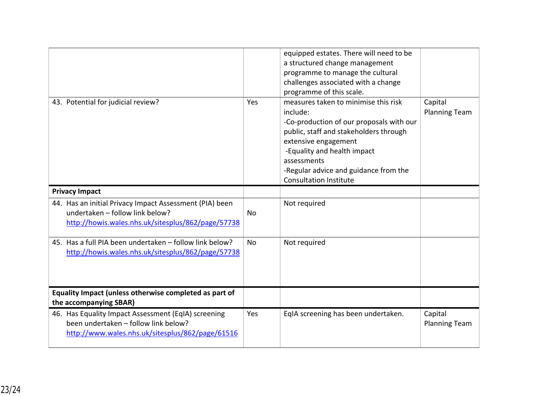| 43. Potential for judicial review?                                                                                                               | Yes       | equipped estates. There will need to be<br>a structured change management<br>programme to manage the cultural<br>challenges associated with a change<br>programme of this scale.<br>measures taken to minimise this risk<br>include:<br>-Co-production of our proposals with our<br>public, staff and stakeholders through<br>extensive engagement<br>-Equality and health impact<br>assessments<br>-Regular advice and guidance from the<br><b>Consultation Institute</b> | Capital<br><b>Planning Team</b> |
|--------------------------------------------------------------------------------------------------------------------------------------------------|-----------|----------------------------------------------------------------------------------------------------------------------------------------------------------------------------------------------------------------------------------------------------------------------------------------------------------------------------------------------------------------------------------------------------------------------------------------------------------------------------|---------------------------------|
| <b>Privacy Impact</b>                                                                                                                            |           |                                                                                                                                                                                                                                                                                                                                                                                                                                                                            |                                 |
| 44. Has an initial Privacy Impact Assessment (PIA) been<br>undertaken - follow link below?<br>http://howis.wales.nhs.uk/sitesplus/862/page/57738 | No        | Not required                                                                                                                                                                                                                                                                                                                                                                                                                                                               |                                 |
| 45. Has a full PIA been undertaken - follow link below?<br>http://howis.wales.nhs.uk/sitesplus/862/page/57738                                    | <b>No</b> | Not required                                                                                                                                                                                                                                                                                                                                                                                                                                                               |                                 |
| Equality Impact (unless otherwise completed as part of                                                                                           |           |                                                                                                                                                                                                                                                                                                                                                                                                                                                                            |                                 |
| the accompanying SBAR)                                                                                                                           |           |                                                                                                                                                                                                                                                                                                                                                                                                                                                                            |                                 |
| 46. Has Equality Impact Assessment (EqIA) screening<br>been undertaken - follow link below?<br>http://www.wales.nhs.uk/sitesplus/862/page/61516  | Yes       | EqIA screening has been undertaken.                                                                                                                                                                                                                                                                                                                                                                                                                                        | Capital<br><b>Planning Team</b> |